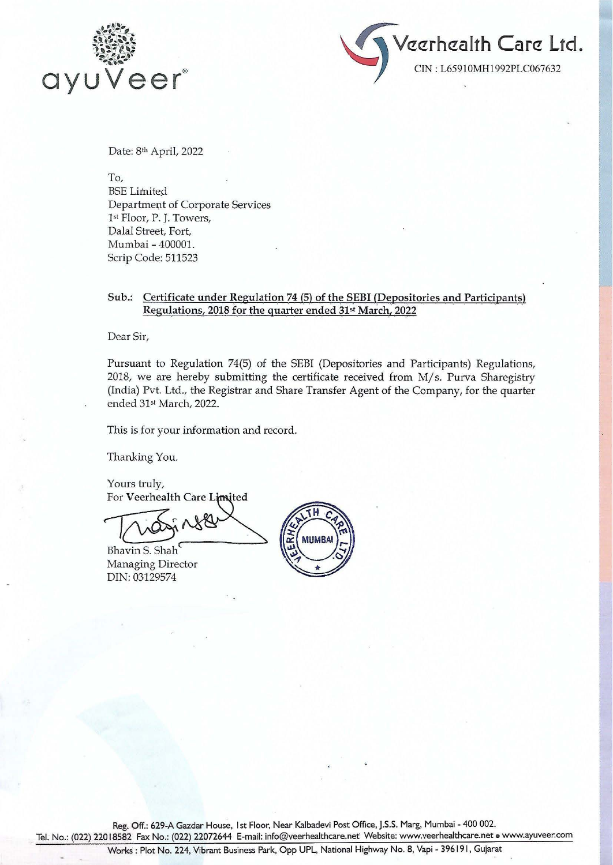



Date: 8th April, 2022

To, **BSE** Limited Department of Corporate Services 1st Floor, P. }. Towers, Dalal Street, Fort, Mumbai- 400001. Scrip Code: 511523

## Sub.: Certificate under Regulation 74 (5) of the SEBI (Depositories and Participants) Regulations, 2018 for the quarter ended 31st March, 2022

Dear Sir,

Pursuant to Regulation 74(5) of the SEBI (Depositories and Participants) Regulations, 2018, we are hereby submitting the certificate received from M/s. Purva Sharegistry (India) Pvt. Ltd., the Registrar and Share Transfer Agent of the Company, for the quarter ended 31st March, 2022.

This is for your information and record.

Thanking You.

Yours truly, For Veerhealth Care Limited

Bhavin S. Shah Managing Director DIN: 03129574



Reg. Off.: 629-A Gazdar House, 1st Floor, Near Kalbadevi Post Office, J.S.S. Marg, Mumbai - 400 002.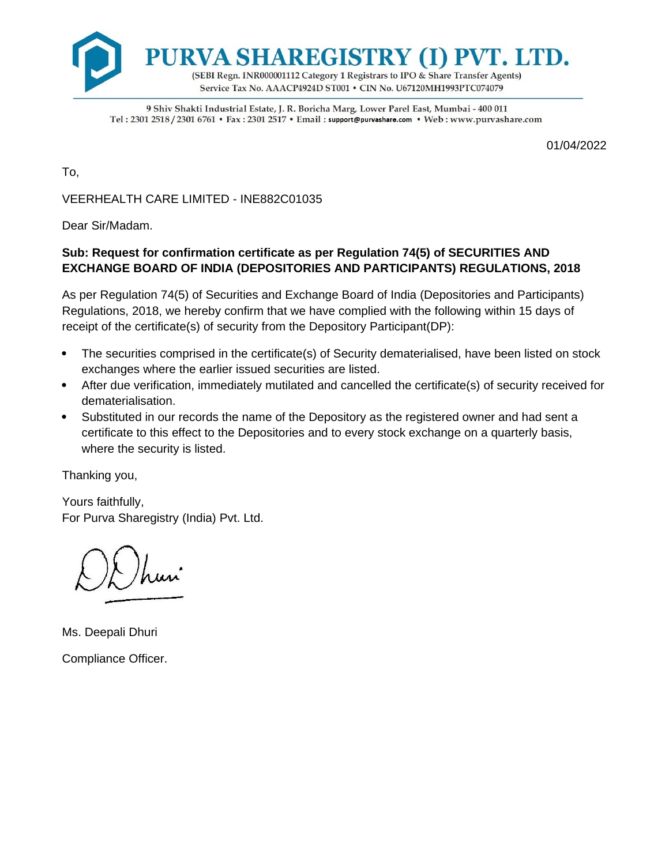

9 Shiv Shakti Industrial Estate, J. R. Boricha Marg, Lower Parel East, Mumbai - 400 011 Tel: 2301 2518 / 2301 6761 • Fax: 2301 2517 • Email: support@purvashare.com • Web: www.purvashare.com

01/04/2022

To,

VEERHEALTH CARE LIMITED - INE882C01035

Dear Sir/Madam.

## **Sub: Request for confirmation certificate as per Regulation 74(5) of SECURITIES AND EXCHANGE BOARD OF INDIA (DEPOSITORIES AND PARTICIPANTS) REGULATIONS, 2018**

As per Regulation 74(5) of Securities and Exchange Board of India (Depositories and Participants) Regulations, 2018, we hereby confirm that we have complied with the following within 15 days of receipt of the certificate(s) of security from the Depository Participant(DP):

- The securities comprised in the certificate(s) of Security dematerialised, have been listed on stock exchanges where the earlier issued securities are listed.
- After due verification, immediately mutilated and cancelled the certificate(s) of security received for dematerialisation.
- Substituted in our records the name of the Depository as the registered owner and had sent a certificate to this effect to the Depositories and to every stock exchange on a quarterly basis, where the security is listed.

Thanking you,

Yours faithfully, For Purva Sharegistry (India) Pvt. Ltd.

Ms. Deepali Dhuri Compliance Officer.